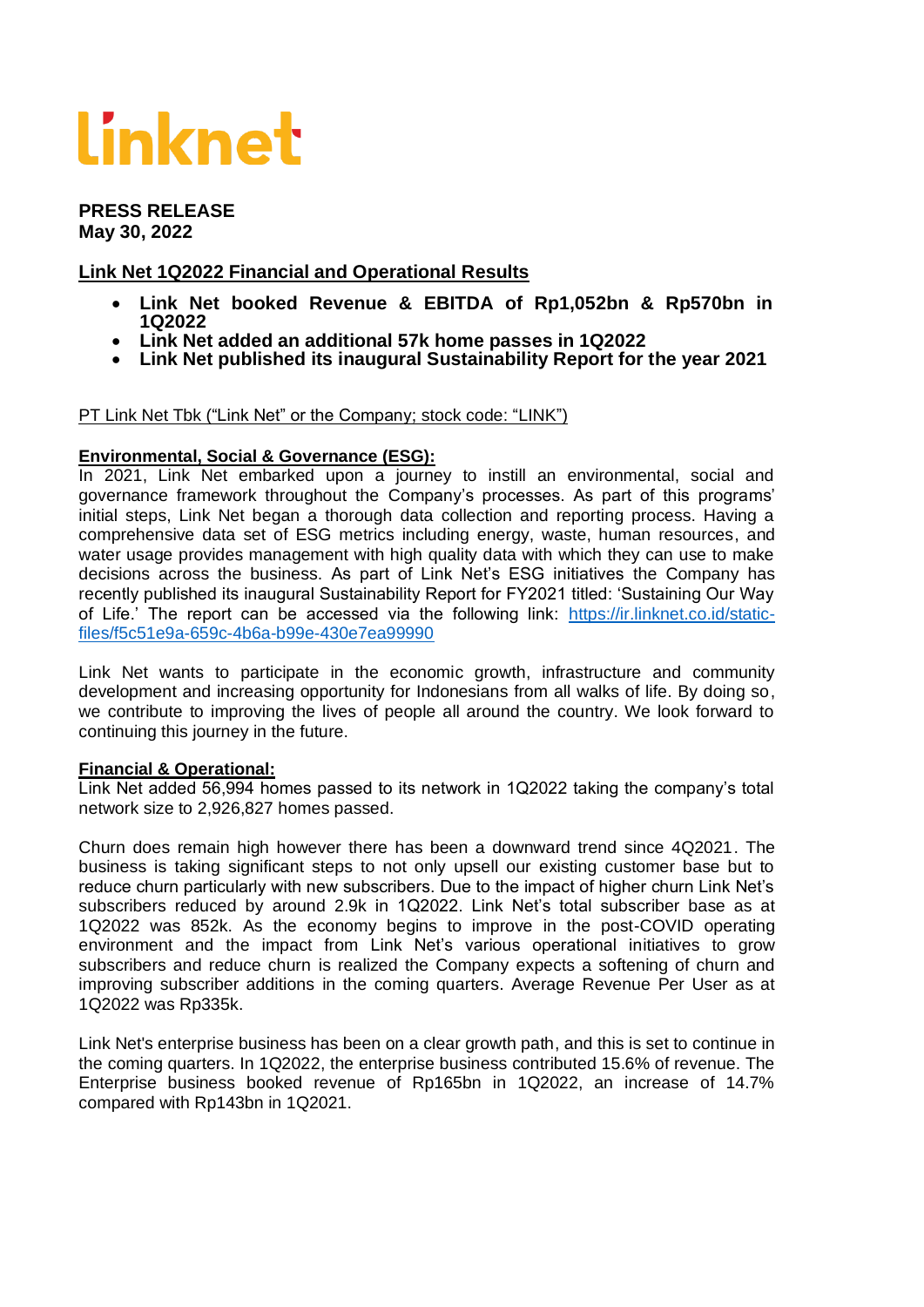# Linknet

#### **PRESS RELEASE May 30, 2022**

# **Link Net 1Q2022 Financial and Operational Results**

- **Link Net booked Revenue & EBITDA of Rp1,052bn & Rp570bn in 1Q2022**
- **Link Net added an additional 57k home passes in 1Q2022**
- **Link Net published its inaugural Sustainability Report for the year 2021**

#### PT Link Net Tbk ("Link Net" or the Company; stock code: "LINK")

#### **Environmental, Social & Governance (ESG):**

In 2021, Link Net embarked upon a journey to instill an environmental, social and governance framework throughout the Company's processes. As part of this programs' initial steps, Link Net began a thorough data collection and reporting process. Having a comprehensive data set of ESG metrics including energy, waste, human resources, and water usage provides management with high quality data with which they can use to make decisions across the business. As part of Link Net's ESG initiatives the Company has recently published its inaugural Sustainability Report for FY2021 titled: 'Sustaining Our Way of Life.' The report can be accessed via the following link: [https://ir.linknet.co.id/static](https://ir.linknet.co.id/static-files/f5c51e9a-659c-4b6a-b99e-430e7ea99990)[files/f5c51e9a-659c-4b6a-b99e-430e7ea99990](https://ir.linknet.co.id/static-files/f5c51e9a-659c-4b6a-b99e-430e7ea99990)

Link Net wants to participate in the economic growth, infrastructure and community development and increasing opportunity for Indonesians from all walks of life. By doing so, we contribute to improving the lives of people all around the country. We look forward to continuing this journey in the future.

#### **Financial & Operational:**

Link Net added 56,994 homes passed to its network in 1Q2022 taking the company's total network size to 2,926,827 homes passed.

Churn does remain high however there has been a downward trend since 4Q2021. The business is taking significant steps to not only upsell our existing customer base but to reduce churn particularly with new subscribers. Due to the impact of higher churn Link Net's subscribers reduced by around 2.9k in 1Q2022. Link Net's total subscriber base as at 1Q2022 was 852k. As the economy begins to improve in the post-COVID operating environment and the impact from Link Net's various operational initiatives to grow subscribers and reduce churn is realized the Company expects a softening of churn and improving subscriber additions in the coming quarters. Average Revenue Per User as at 1Q2022 was Rp335k.

Link Net's enterprise business has been on a clear growth path, and this is set to continue in the coming quarters. In 1Q2022, the enterprise business contributed 15.6% of revenue. The Enterprise business booked revenue of Rp165bn in 1Q2022, an increase of 14.7% compared with Rp143bn in 1Q2021.